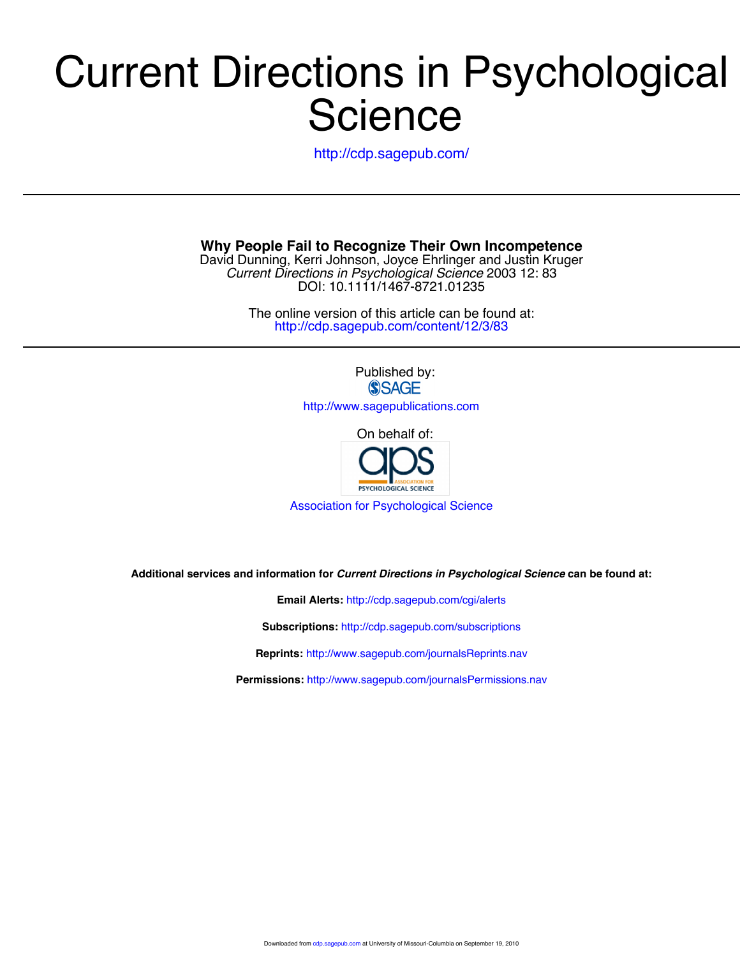# **Science** Current Directions in Psychological

http://cdp.sagepub.com/

**Why People Fail to Recognize Their Own Incompetence**

DOI: 10.1111/1467-8721.01235 *Current Directions in Psychological Science* 2003 12: 83 David Dunning, Kerri Johnson, Joyce Ehrlinger and Justin Kruger

> http://cdp.sagepub.com/content/12/3/83 The online version of this article can be found at:

> > Published by:<br>
> > SAGE http://www.sagepublications.com

> > > On behalf of:

Association for Psychological Science

**Additional services and information for** *Current Directions in Psychological Science* **can be found at:**

**Email Alerts:** http://cdp.sagepub.com/cgi/alerts

**Subscriptions:** http://cdp.sagepub.com/subscriptions

**Reprints:** http://www.sagepub.com/journalsReprints.nav

**Permissions:** http://www.sagepub.com/journalsPermissions.nav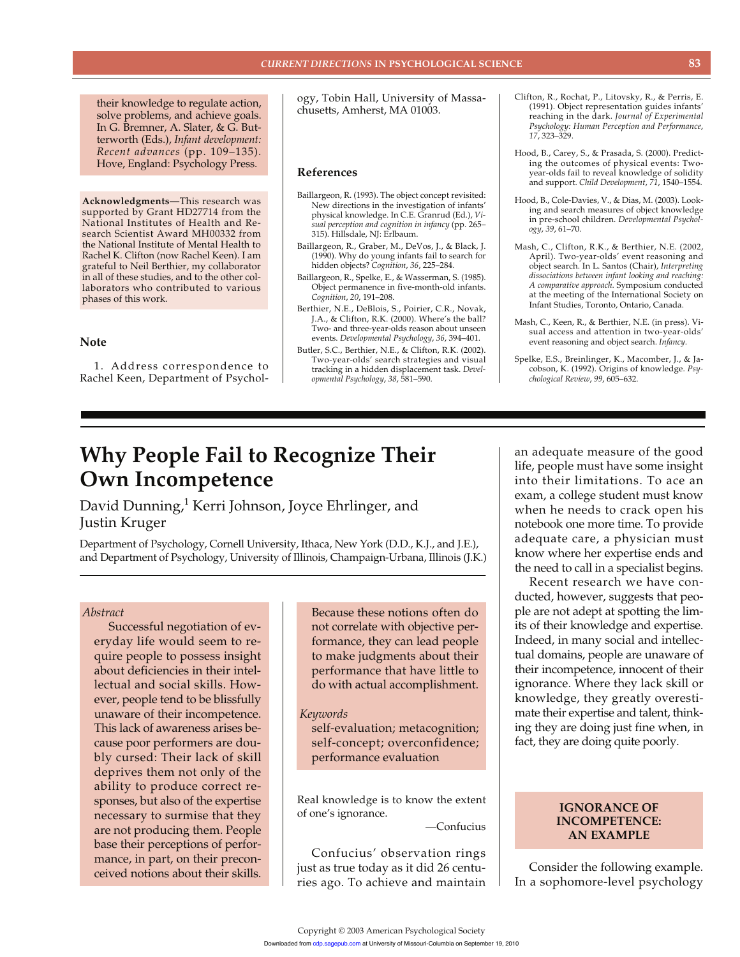their knowledge to regulate action, solve problems, and achieve goals. In G. Bremner, A. Slater, & G. Butterworth (Eds.), *Infant development: Recent advances* (pp. 109–135). Hove, England: Psychology Press.

**Acknowledgments—**This research was supported by Grant HD27714 from the National Institutes of Health and Research Scientist Award MH00332 from the National Institute of Mental Health to Rachel K. Clifton (now Rachel Keen). I am grateful to Neil Berthier, my collaborator in all of these studies, and to the other collaborators who contributed to various phases of this work.

#### **Note**

1. Address correspondence to Rachel Keen, Department of Psychology, Tobin Hall, University of Massachusetts, Amherst, MA 01003.

#### **References**

- Baillargeon, R. (1993). The object concept revisited: New directions in the investigation of infants' physical knowledge. In C.E. Granrud (Ed.), *Visual perception and cognition in infancy* (pp. 265– 315). Hillsdale, NJ: Erlbaum.
- Baillargeon, R., Graber, M., DeVos, J., & Black, J. (1990). Why do young infants fail to search for hidden objects? *Cognition*, *36*, 225–284.
- Baillargeon, R., Spelke, E., & Wasserman, S. (1985). Object permanence in five-month-old infants. *Cognition*, *20*, 191–208.
- Berthier, N.E., DeBlois, S., Poirier, C.R., Novak, J.A., & Clifton, R.K. (2000). Where's the ball? Two- and three-year-olds reason about unseen events. *Developmental Psychology*, *36*, 394–401.
- Butler, S.C., Berthier, N.E., & Clifton, R.K. (2002). Two-year-olds' search strategies and visual tracking in a hidden displacement task. *Developmental Psychology*, *38*, 581–590.
- Clifton, R., Rochat, P., Litovsky, R., & Perris, E. (1991). Object representation guides infants' reaching in the dark. *Journal of Experimental Psychology: Human Perception and Performance*, *17*, 323–329.
- Hood, B., Carey, S., & Prasada, S. (2000). Predicting the outcomes of physical events: Twoyear-olds fail to reveal knowledge of solidity and support. *Child Development*, *71*, 1540–1554.
- Hood, B., Cole-Davies, V., & Dias, M. (2003). Looking and search measures of object knowledge in pre-school children. *Developmental Psychology*, *39*, 61–70.
- Mash, C., Clifton, R.K., & Berthier, N.E. (2002, April). Two-year-olds' event reasoning and object search. In L. Santos (Chair), *Interpreting dissociations between infant looking and reaching: A comparative approach*. Symposium conducted at the meeting of the International Society on Infant Studies, Toronto, Ontario, Canada.
- Mash, C., Keen, R., & Berthier, N.E. (in press). Visual access and attention in two-year-olds' event reasoning and object search. *Infancy*.
- Spelke, E.S., Breinlinger, K., Macomber, J., & Ja-cobson, K. (1992). Origins of knowledge. *Psychological Review*, *99*, 605–632.

## **Why People Fail to Recognize Their Own Incompetence**

David Dunning,<sup>1</sup> Kerri Johnson, Joyce Ehrlinger, and Justin Kruger

Department of Psychology, Cornell University, Ithaca, New York (D.D., K.J., and J.E.), and Department of Psychology, University of Illinois, Champaign-Urbana, Illinois (J.K.)

#### *Abstract*

Successful negotiation of everyday life would seem to require people to possess insight about deficiencies in their intellectual and social skills. However, people tend to be blissfully unaware of their incompetence. This lack of awareness arises because poor performers are doubly cursed: Their lack of skill deprives them not only of the ability to produce correct responses, but also of the expertise necessary to surmise that they are not producing them. People base their perceptions of performance, in part, on their preconceived notions about their skills.

Because these notions often do not correlate with objective performance, they can lead people to make judgments about their performance that have little to do with actual accomplishment.

#### *Keywords*

self-evaluation; metacognition; self-concept; overconfidence; performance evaluation

Real knowledge is to know the extent of one's ignorance.

—Confucius

Confucius' observation rings just as true today as it did 26 centuries ago. To achieve and maintain

an adequate measure of the good life, people must have some insight into their limitations. To ace an exam, a college student must know when he needs to crack open his notebook one more time. To provide adequate care, a physician must know where her expertise ends and the need to call in a specialist begins.

Recent research we have conducted, however, suggests that people are not adept at spotting the limits of their knowledge and expertise. Indeed, in many social and intellectual domains, people are unaware of their incompetence, innocent of their ignorance. Where they lack skill or knowledge, they greatly overestimate their expertise and talent, thinking they are doing just fine when, in fact, they are doing quite poorly.

#### **IGNORANCE OF INCOMPETENCE: AN EXAMPLE**

Consider the following example. In a sophomore-level psychology

Downloaded from cdp.sagepub.com at University of Missouri-Columbia on September 19, 2010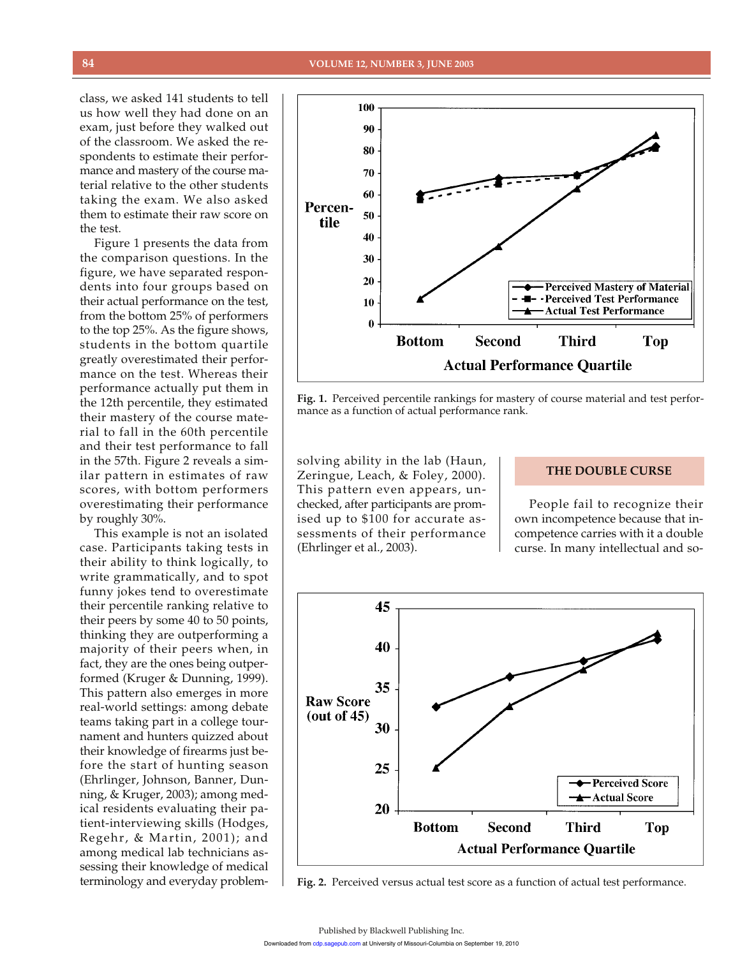**84 VOLUME 12, NUMBER 3, JUNE 2003**

class, we asked 141 students to tell us how well they had done on an exam, just before they walked out of the classroom. We asked the respondents to estimate their performance and mastery of the course material relative to the other students taking the exam. We also asked them to estimate their raw score on the test.

Figure 1 presents the data from the comparison questions. In the figure, we have separated respondents into four groups based on their actual performance on the test, from the bottom 25% of performers to the top 25%. As the figure shows, students in the bottom quartile greatly overestimated their performance on the test. Whereas their performance actually put them in the 12th percentile, they estimated their mastery of the course material to fall in the 60th percentile and their test performance to fall in the 57th. Figure 2 reveals a similar pattern in estimates of raw scores, with bottom performers overestimating their performance by roughly 30%.

This example is not an isolated case. Participants taking tests in their ability to think logically, to write grammatically, and to spot funny jokes tend to overestimate their percentile ranking relative to their peers by some 40 to 50 points, thinking they are outperforming a majority of their peers when, in fact, they are the ones being outperformed (Kruger & Dunning, 1999). This pattern also emerges in more real-world settings: among debate teams taking part in a college tournament and hunters quizzed about their knowledge of firearms just before the start of hunting season (Ehrlinger, Johnson, Banner, Dunning, & Kruger, 2003); among medical residents evaluating their patient-interviewing skills (Hodges, Regehr, & Martin, 2001); and among medical lab technicians assessing their knowledge of medical terminology and everyday problem-



**Fig. 1.** Perceived percentile rankings for mastery of course material and test performance as a function of actual performance rank.

solving ability in the lab (Haun, Zeringue, Leach, & Foley, 2000). This pattern even appears, unchecked, after participants are promised up to \$100 for accurate assessments of their performance (Ehrlinger et al., 2003).

#### **THE DOUBLE CURSE**

People fail to recognize their own incompetence because that incompetence carries with it a double curse. In many intellectual and so-



**Fig. 2.** Perceived versus actual test score as a function of actual test performance.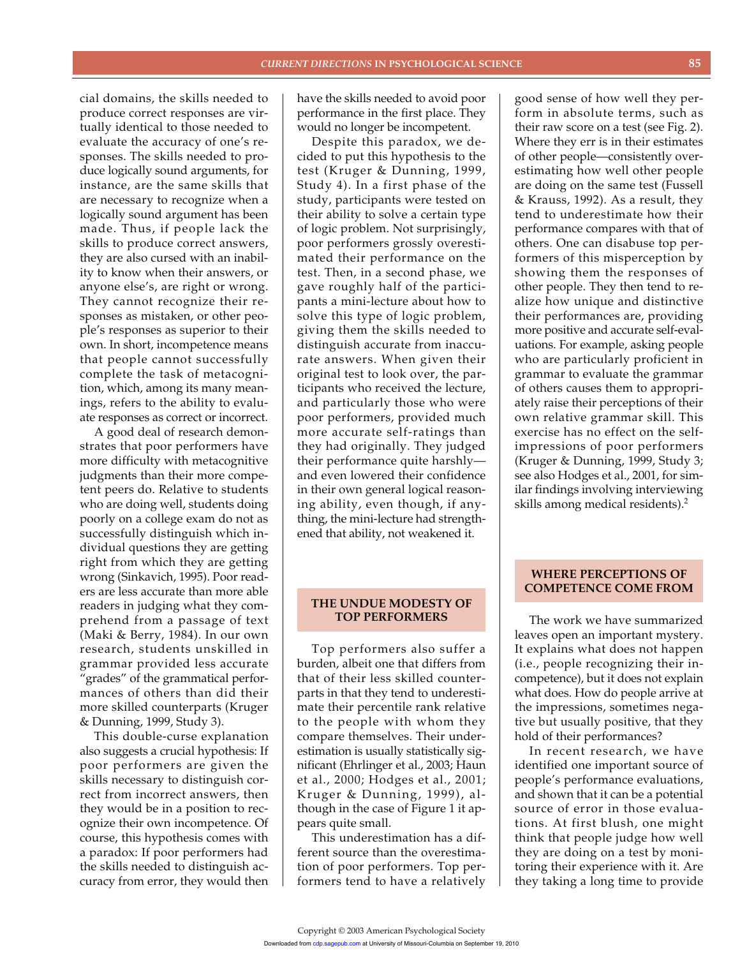cial domains, the skills needed to produce correct responses are virtually identical to those needed to evaluate the accuracy of one's responses. The skills needed to produce logically sound arguments, for instance, are the same skills that are necessary to recognize when a logically sound argument has been made. Thus, if people lack the skills to produce correct answers, they are also cursed with an inability to know when their answers, or anyone else's, are right or wrong. They cannot recognize their responses as mistaken, or other people's responses as superior to their own. In short, incompetence means that people cannot successfully complete the task of metacognition, which, among its many meanings, refers to the ability to evaluate responses as correct or incorrect.

A good deal of research demonstrates that poor performers have more difficulty with metacognitive judgments than their more competent peers do. Relative to students who are doing well, students doing poorly on a college exam do not as successfully distinguish which individual questions they are getting right from which they are getting wrong (Sinkavich, 1995). Poor readers are less accurate than more able readers in judging what they comprehend from a passage of text (Maki & Berry, 1984). In our own research, students unskilled in grammar provided less accurate "grades" of the grammatical performances of others than did their more skilled counterparts (Kruger & Dunning, 1999, Study 3).

This double-curse explanation also suggests a crucial hypothesis: If poor performers are given the skills necessary to distinguish correct from incorrect answers, then they would be in a position to recognize their own incompetence. Of course, this hypothesis comes with a paradox: If poor performers had the skills needed to distinguish accuracy from error, they would then

have the skills needed to avoid poor performance in the first place. They would no longer be incompetent.

Despite this paradox, we decided to put this hypothesis to the test (Kruger & Dunning, 1999, Study 4). In a first phase of the study, participants were tested on their ability to solve a certain type of logic problem. Not surprisingly, poor performers grossly overestimated their performance on the test. Then, in a second phase, we gave roughly half of the participants a mini-lecture about how to solve this type of logic problem, giving them the skills needed to distinguish accurate from inaccurate answers. When given their original test to look over, the participants who received the lecture, and particularly those who were poor performers, provided much more accurate self-ratings than they had originally. They judged their performance quite harshly and even lowered their confidence in their own general logical reasoning ability, even though, if anything, the mini-lecture had strengthened that ability, not weakened it.

#### **THE UNDUE MODESTY OF TOP PERFORMERS**

Top performers also suffer a burden, albeit one that differs from that of their less skilled counterparts in that they tend to underestimate their percentile rank relative to the people with whom they compare themselves. Their underestimation is usually statistically significant (Ehrlinger et al., 2003; Haun et al., 2000; Hodges et al., 2001; Kruger & Dunning, 1999), although in the case of Figure 1 it appears quite small.

This underestimation has a different source than the overestimation of poor performers. Top performers tend to have a relatively good sense of how well they perform in absolute terms, such as their raw score on a test (see Fig. 2). Where they err is in their estimates of other people—consistently overestimating how well other people are doing on the same test (Fussell & Krauss, 1992). As a result, they tend to underestimate how their performance compares with that of others. One can disabuse top performers of this misperception by showing them the responses of other people. They then tend to realize how unique and distinctive their performances are, providing more positive and accurate self-evaluations. For example, asking people who are particularly proficient in grammar to evaluate the grammar of others causes them to appropriately raise their perceptions of their own relative grammar skill. This exercise has no effect on the selfimpressions of poor performers (Kruger & Dunning, 1999, Study 3; see also Hodges et al., 2001, for similar findings involving interviewing skills among medical residents).<sup>2</sup>

#### **WHERE PERCEPTIONS OF COMPETENCE COME FROM**

The work we have summarized leaves open an important mystery. It explains what does not happen (i.e., people recognizing their incompetence), but it does not explain what does. How do people arrive at the impressions, sometimes negative but usually positive, that they hold of their performances?

In recent research, we have identified one important source of people's performance evaluations, and shown that it can be a potential source of error in those evaluations. At first blush, one might think that people judge how well they are doing on a test by monitoring their experience with it. Are they taking a long time to provide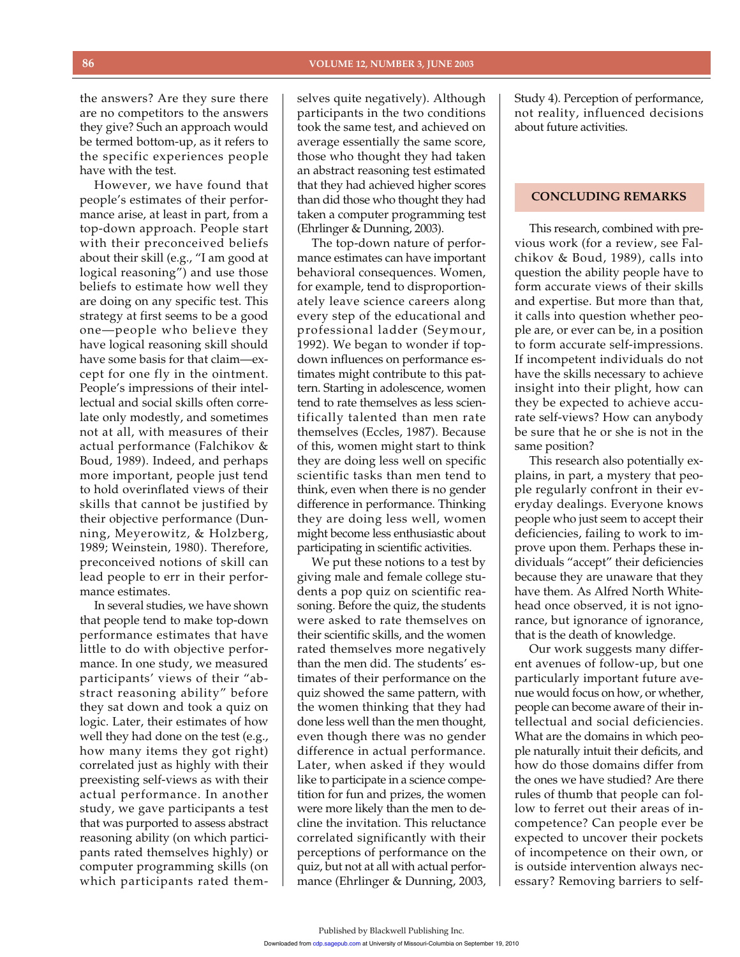#### **86 VOLUME 12, NUMBER 3, JUNE 2003**

the answers? Are they sure there are no competitors to the answers they give? Such an approach would be termed bottom-up, as it refers to the specific experiences people have with the test.

However, we have found that people's estimates of their performance arise, at least in part, from a top-down approach. People start with their preconceived beliefs about their skill (e.g., "I am good at logical reasoning") and use those beliefs to estimate how well they are doing on any specific test. This strategy at first seems to be a good one—people who believe they have logical reasoning skill should have some basis for that claim—except for one fly in the ointment. People's impressions of their intellectual and social skills often correlate only modestly, and sometimes not at all, with measures of their actual performance (Falchikov & Boud, 1989). Indeed, and perhaps more important, people just tend to hold overinflated views of their skills that cannot be justified by their objective performance (Dunning, Meyerowitz, & Holzberg, 1989; Weinstein, 1980). Therefore, preconceived notions of skill can lead people to err in their performance estimates.

In several studies, we have shown that people tend to make top-down performance estimates that have little to do with objective performance. In one study, we measured participants' views of their "abstract reasoning ability" before they sat down and took a quiz on logic. Later, their estimates of how well they had done on the test (e.g., how many items they got right) correlated just as highly with their preexisting self-views as with their actual performance. In another study, we gave participants a test that was purported to assess abstract reasoning ability (on which participants rated themselves highly) or computer programming skills (on which participants rated themselves quite negatively). Although participants in the two conditions took the same test, and achieved on average essentially the same score, those who thought they had taken an abstract reasoning test estimated that they had achieved higher scores than did those who thought they had taken a computer programming test (Ehrlinger & Dunning, 2003).

The top-down nature of performance estimates can have important behavioral consequences. Women, for example, tend to disproportionately leave science careers along every step of the educational and professional ladder (Seymour, 1992). We began to wonder if topdown influences on performance estimates might contribute to this pattern. Starting in adolescence, women tend to rate themselves as less scientifically talented than men rate themselves (Eccles, 1987). Because of this, women might start to think they are doing less well on specific scientific tasks than men tend to think, even when there is no gender difference in performance. Thinking they are doing less well, women might become less enthusiastic about participating in scientific activities.

We put these notions to a test by giving male and female college students a pop quiz on scientific reasoning. Before the quiz, the students were asked to rate themselves on their scientific skills, and the women rated themselves more negatively than the men did. The students' estimates of their performance on the quiz showed the same pattern, with the women thinking that they had done less well than the men thought, even though there was no gender difference in actual performance. Later, when asked if they would like to participate in a science competition for fun and prizes, the women were more likely than the men to decline the invitation. This reluctance correlated significantly with their perceptions of performance on the quiz, but not at all with actual performance (Ehrlinger & Dunning, 2003,

Study 4). Perception of performance, not reality, influenced decisions about future activities.

#### **CONCLUDING REMARKS**

This research, combined with previous work (for a review, see Falchikov & Boud, 1989), calls into question the ability people have to form accurate views of their skills and expertise. But more than that, it calls into question whether people are, or ever can be, in a position to form accurate self-impressions. If incompetent individuals do not have the skills necessary to achieve insight into their plight, how can they be expected to achieve accurate self-views? How can anybody be sure that he or she is not in the same position?

This research also potentially explains, in part, a mystery that people regularly confront in their everyday dealings. Everyone knows people who just seem to accept their deficiencies, failing to work to improve upon them. Perhaps these individuals "accept" their deficiencies because they are unaware that they have them. As Alfred North Whitehead once observed, it is not ignorance, but ignorance of ignorance, that is the death of knowledge.

Our work suggests many different avenues of follow-up, but one particularly important future avenue would focus on how, or whether, people can become aware of their intellectual and social deficiencies. What are the domains in which people naturally intuit their deficits, and how do those domains differ from the ones we have studied? Are there rules of thumb that people can follow to ferret out their areas of incompetence? Can people ever be expected to uncover their pockets of incompetence on their own, or is outside intervention always necessary? Removing barriers to self